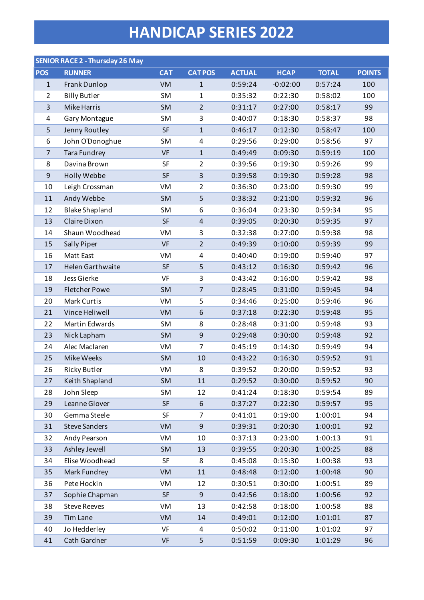## **HANDICAP SERIES 2022**

|                | <b>SENIOR RACE 2 - Thursday 26 May</b> |            |                         |               |             |              |               |
|----------------|----------------------------------------|------------|-------------------------|---------------|-------------|--------------|---------------|
| <b>POS</b>     | <b>RUNNER</b>                          | <b>CAT</b> | <b>CATPOS</b>           | <b>ACTUAL</b> | <b>HCAP</b> | <b>TOTAL</b> | <b>POINTS</b> |
| $\mathbf{1}$   | Frank Dunlop                           | <b>VM</b>  | $1\,$                   | 0:59:24       | $-0:02:00$  | 0:57:24      | 100           |
| $\overline{2}$ | <b>Billy Butler</b>                    | <b>SM</b>  | $\mathbf{1}$            | 0:35:32       | 0:22:30     | 0:58:02      | 100           |
| 3              | <b>Mike Harris</b>                     | <b>SM</b>  | $\overline{2}$          | 0:31:17       | 0:27:00     | 0:58:17      | 99            |
| $\overline{4}$ | Gary Montague                          | SM         | 3                       | 0:40:07       | 0:18:30     | 0:58:37      | 98            |
| 5              | Jenny Routley                          | <b>SF</b>  | $\mathbf 1$             | 0:46:17       | 0:12:30     | 0:58:47      | 100           |
| 6              | John O'Donoghue                        | SM         | 4                       | 0:29:56       | 0:29:00     | 0:58:56      | 97            |
| $\overline{7}$ | <b>Tara Fundrey</b>                    | <b>VF</b>  | $\mathbf{1}$            | 0:49:49       | 0:09:30     | 0:59:19      | 100           |
| 8              | Davina Brown                           | SF         | $\overline{2}$          | 0:39:56       | 0:19:30     | 0:59:26      | 99            |
| $\mathsf g$    | Holly Webbe                            | <b>SF</b>  | $\overline{\mathbf{3}}$ | 0:39:58       | 0:19:30     | 0:59:28      | 98            |
| 10             | Leigh Crossman                         | VM         | $\overline{2}$          | 0:36:30       | 0:23:00     | 0:59:30      | 99            |
| 11             | Andy Webbe                             | <b>SM</b>  | 5                       | 0:38:32       | 0:21:00     | 0:59:32      | 96            |
| 12             | <b>Blake Shapland</b>                  | SM         | 6                       | 0:36:04       | 0:23:30     | 0:59:34      | 95            |
| 13             | Claire Dixon                           | <b>SF</b>  | $\overline{4}$          | 0:39:05       | 0:20:30     | 0:59:35      | 97            |
| 14             | Shaun Woodhead                         | VM         | 3                       | 0:32:38       | 0:27:00     | 0:59:38      | 98            |
| 15             | <b>Sally Piper</b>                     | <b>VF</b>  | $\overline{2}$          | 0:49:39       | 0:10:00     | 0:59:39      | 99            |
| 16             | Matt East                              | VM         | 4                       | 0:40:40       | 0:19:00     | 0:59:40      | 97            |
| 17             | <b>Helen Garthwaite</b>                | <b>SF</b>  | 5                       | 0:43:12       | 0:16:30     | 0:59:42      | 96            |
| 18             | Jess Gierke                            | <b>VF</b>  | 3                       | 0:43:42       | 0:16:00     | 0:59:42      | 98            |
| 19             | <b>Fletcher Powe</b>                   | <b>SM</b>  | $\overline{7}$          | 0:28:45       | 0:31:00     | 0:59:45      | 94            |
| 20             | <b>Mark Curtis</b>                     | VM         | 5                       | 0:34:46       | 0:25:00     | 0:59:46      | 96            |
| 21             | Vince Heliwell                         | VM         | 6                       | 0:37:18       | 0:22:30     | 0:59:48      | 95            |
| 22             | Martin Edwards                         | SM         | 8                       | 0:28:48       | 0:31:00     | 0:59:48      | 93            |
| 23             | Nick Lapham                            | <b>SM</b>  | 9                       | 0:29:48       | 0:30:00     | 0:59:48      | 92            |
| 24             | Alec Maclaren                          | VM         | $\overline{7}$          | 0:45:19       | 0:14:30     | 0:59:49      | 94            |
| 25             | Mike Weeks                             | SM         | 10                      | 0:43:22       | 0:16:30     | 0:59:52      | 91            |
| 26             | Ricky Butler                           | VM         | 8                       | 0:39:52       | 0:20:00     | 0:59:52      | 93            |
| 27             | Keith Shapland                         | <b>SM</b>  | 11                      | 0:29:52       | 0:30:00     | 0:59:52      | 90            |
| 28             | John Sleep                             | <b>SM</b>  | 12                      | 0:41:24       | 0:18:30     | 0:59:54      | 89            |
| 29             | Leanne Glover                          | <b>SF</b>  | 6                       | 0:37:27       | 0:22:30     | 0:59:57      | 95            |
| 30             | Gemma Steele                           | SF         | $\overline{7}$          | 0:41:01       | 0:19:00     | 1:00:01      | 94            |
| 31             | <b>Steve Sanders</b>                   | VM         | 9                       | 0:39:31       | 0:20:30     | 1:00:01      | 92            |
| 32             | Andy Pearson                           | VM         | 10                      | 0:37:13       | 0:23:00     | 1:00:13      | 91            |
| 33             | Ashley Jewell                          | <b>SM</b>  | 13                      | 0:39:55       | 0:20:30     | 1:00:25      | 88            |
| 34             | Elise Woodhead                         | SF         | 8                       | 0:45:08       | 0:15:30     | 1:00:38      | 93            |
| 35             | Mark Fundrey                           | VM         | 11                      | 0:48:48       | 0:12:00     | 1:00:48      | 90            |
| 36             | Pete Hockin                            | VM         | 12                      | 0:30:51       | 0:30:00     | 1:00:51      | 89            |
| 37             | Sophie Chapman                         | <b>SF</b>  | 9                       | 0:42:56       | 0:18:00     | 1:00:56      | 92            |
| 38             | <b>Steve Reeves</b>                    | VM         | 13                      | 0:42:58       | 0:18:00     | 1:00:58      | 88            |
| 39             | <b>Tim Lane</b>                        | VM         | 14                      | 0:49:01       | 0:12:00     | 1:01:01      | 87            |
| 40             | Jo Hedderley                           | VF         | 4                       | 0:50:02       | 0:11:00     | 1:01:02      | 97            |
| 41             | Cath Gardner                           | VF         | 5                       | 0:51:59       | 0:09:30     | 1:01:29      | 96            |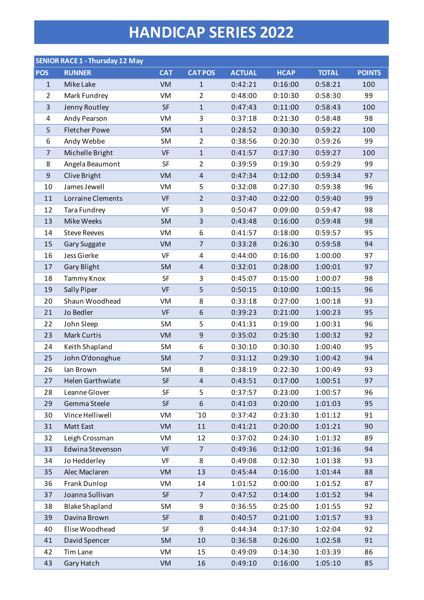## **HANDICAP SERIES 2022**

|                  | <b>SENIOR RACE 1 - Thursday 12 May</b> |            |                         |               |             |              |               |
|------------------|----------------------------------------|------------|-------------------------|---------------|-------------|--------------|---------------|
| <b>POS</b>       | <b>RUNNER</b>                          | <b>CAT</b> | <b>CATPOS</b>           | <b>ACTUAL</b> | <b>HCAP</b> | <b>TOTAL</b> | <b>POINTS</b> |
| $\mathbf{1}$     | Mike Lake                              | VM         | $\mathbf{1}$            | 0:42:21       | 0:16:00     | 0:58:21      | 100           |
| $\overline{2}$   | Mark Fundrey                           | VM         | $\overline{2}$          | 0:48:00       | 0:10:30     | 0:58:30      | 99            |
| $\overline{3}$   | Jenny Routley                          | <b>SF</b>  | $\mathbf{1}$            | 0:47:43       | 0:11:00     | 0:58:43      | 100           |
| 4                | Andy Pearson                           | VM         | 3                       | 0:37:18       | 0:21:30     | 0:58:48      | 98            |
| 5                | <b>Fletcher Powe</b>                   | SM         | $\mathbf{1}$            | 0:28:52       | 0:30:30     | 0:59:22      | 100           |
| 6                | Andy Webbe                             | SM         | $\overline{2}$          | 0:38:56       | 0:20:30     | 0:59:26      | 99            |
| $\overline{7}$   | Michelle Bright                        | <b>VF</b>  | $\mathbf 1$             | 0:41:57       | 0:17:30     | 0:59:27      | 100           |
| 8                | Angela Beaumont                        | SF         | $\overline{2}$          | 0:39:59       | 0:19:30     | 0:59:29      | 99            |
| $\boldsymbol{9}$ | Clive Bright                           | <b>VM</b>  | $\overline{4}$          | 0:47:34       | 0:12:00     | 0:59:34      | 97            |
| 10               | James Jewell                           | VM         | 5                       | 0:32:08       | 0:27:30     | 0:59:38      | 96            |
| 11               | Lorraine Clements                      | <b>VF</b>  | $\overline{2}$          | 0:37:40       | 0:22:00     | 0:59:40      | 99            |
| 12               | <b>Tara Fundrey</b>                    | VF         | 3                       | 0:50:47       | 0:09:00     | 0:59:47      | 98            |
| 13               | Mike Weeks                             | <b>SM</b>  | $\overline{\mathbf{3}}$ | 0:43:48       | 0:16:00     | 0:59:48      | 98            |
| 14               | <b>Steve Reeves</b>                    | VM         | 6                       | 0:41:57       | 0:18:00     | 0:59:57      | 95            |
| 15               | Gary Suggate                           | <b>VM</b>  | $\overline{7}$          | 0:33:28       | 0:26:30     | 0:59:58      | 94            |
| 16               | Jess Gierke                            | VF         | 4                       | 0:44:00       | 0:16:00     | 1:00:00      | 97            |
| 17               | <b>Gary Blight</b>                     | SM         | $\sqrt{4}$              | 0:32:01       | 0:28:00     | 1:00:01      | 97            |
| 18               | Tammy Knox                             | SF         | 3                       | 0:45:07       | 0:15:00     | 1:00:07      | 98            |
| 19               | Sally Piper                            | <b>VF</b>  | 5                       | 0:50:15       | 0:10:00     | 1:00:15      | 96            |
| 20               | Shaun Woodhead                         | VM         | 8                       | 0:33:18       | 0:27:00     | 1:00:18      | 93            |
| 21               | Jo Bedler                              | <b>VF</b>  | $\sqrt{6}$              | 0:39:23       | 0:21:00     | 1:00:23      | 95            |
| 22               | John Sleep                             | SM         | 5                       | 0:41:31       | 0:19:00     | 1:00:31      | 96            |
| 23               | <b>Mark Curtis</b>                     | VM         | $\mathsf 9$             | 0:35:02       | 0:25:30     | 1:00:32      | 92            |
| 24               | Keith Shapland                         | SM         | 6                       | 0:30:10       | 0:30:30     | 1:00:40      | 95            |
| 25               | John O'donoghue                        | <b>SM</b>  | $\overline{7}$          | 0:31:12       | 0:29:30     | 1:00:42      | 94            |
| 26               | Ian Brown                              | <b>SM</b>  | 8                       | 0:38:19       | 0:22:30     | 1:00:49      | 93            |
| 27               | Helen Garthwiate                       | <b>SF</b>  | $\overline{4}$          | 0:43:51       | 0:17:00     | 1:00:51      | 97            |
| 28               | Leanne Glover                          | SF         | 5                       | 0:37:57       | 0:23:00     | 1:00:57      | 96            |
| 29               | Gemma Steele                           | <b>SF</b>  | 6                       | 0:41:03       | 0:20:00     | 1:01:03      | 95            |
| 30               | Vince Helliwell                        | VM         | 10                      | 0:37:42       | 0:23:30     | 1:01:12      | 91            |
| 31               | Matt East                              | VM         | 11                      | 0:41:21       | 0:20:00     | 1:01:21      | 90            |
| 32               | Leigh Crossman                         | VM         | 12                      | 0:37:02       | 0:24:30     | 1:01:32      | 89            |
| 33               | Edwina Stevenson                       | <b>VF</b>  | $\overline{7}$          | 0:49:36       | 0:12:00     | 1:01:36      | 94            |
| 34               | Jo Hedderley                           | VF         | 8                       | 0:49:08       | 0:12:30     | 1:01:38      | 93            |
| 35               | Alec Maclaren                          | VM         | 13                      | 0:45:44       | 0:16:00     | 1:01:44      | 88            |
| 36               | Frank Dunlop                           | VM         | 14                      | 1:01:52       | 0:00:00     | 1:01:52      | 87            |
| 37               | Joanna Sullivan                        | <b>SF</b>  | $\overline{7}$          | 0:47:52       | 0:14:00     | 1:01:52      | 94            |
| 38               | <b>Blake Shapland</b>                  | <b>SM</b>  | 9                       | 0:36:55       | 0:25:00     | 1:01:55      | 92            |
| 39               | Davina Brown                           | <b>SF</b>  | 8                       | 0:40:57       | 0:21:00     | 1:01:57      | 93            |
| 40               | Elise Woodhead                         | SF         | 9                       | 0:44:34       | 0:17:30     | 1:02:04      | 92            |
| 41               | David Spencer                          | <b>SM</b>  | 10                      | 0:36:58       | 0:26:00     | 1:02:58      | 91            |
| 42               | Tim Lane                               | VM         | 15                      | 0:49:09       | 0:14:30     | 1:03:39      | 86            |
| 43               | Gary Hatch                             | VM         | 16                      | 0:49:10       | 0:16:00     | 1:05:10      | 85            |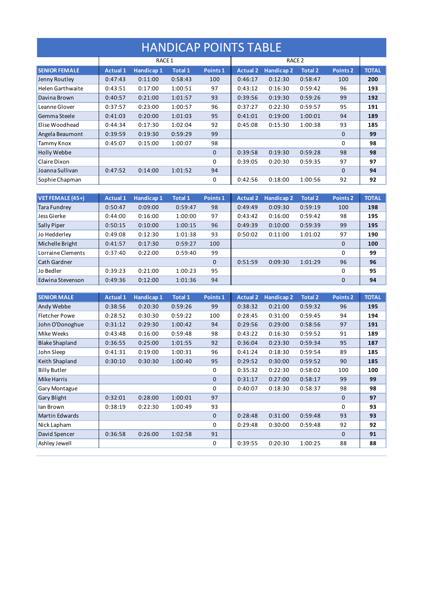## HANDICAP POINTS TABLE

|                         | RACE 1          |                   |                |                |                 |                   |                |                     |              |
|-------------------------|-----------------|-------------------|----------------|----------------|-----------------|-------------------|----------------|---------------------|--------------|
| <b>SENIOR FEMALE</b>    | <b>Actual 1</b> | <b>Handicap 1</b> | <b>Total 1</b> | <b>Points1</b> | <b>Actual 2</b> | <b>Handicap 2</b> | <b>Total 2</b> | Points <sub>2</sub> | <b>TOTAL</b> |
| Jenny Routley           | 0:47:43         | 0:11:00           | 0:58:43        | 100            | 0:46:17         | 0:12:30           | 0:58:47        | 100                 | 200          |
| <b>Helen Garthwaite</b> | 0:43:51         | 0:17:00           | 1:00:51        | 97             | 0:43:12         | 0:16:30           | 0:59:42        | 96                  | 193          |
| Davina Brown            | 0:40:57         | 0:21:00           | 1:01:57        | 93             | 0:39:56         | 0:19:30           | 0:59:26        | 99                  | 192          |
| Leanne Glover           | 0:37:57         | 0:23:00           | 1:00:57        | 96             | 0:37:27         | 0:22:30           | 0:59:57        | 95                  | 191          |
| Gemma Steele            | 0:41:03         | 0:20:00           | 1:01:03        | 95             | 0:41:01         | 0:19:00           | 1:00:01        | 94                  | 189          |
| Elise Woodhead          | 0:44:34         | 0:17:30           | 1:02:04        | 92             | 0:45:08         | 0:15:30           | 1:00:38        | 93                  | 185          |
| Angela Beaumont         | 0:39:59         | 0:19:30           | 0:59:29        | 99             |                 |                   |                | 0                   | 99           |
| Tammy Knox              | 0:45:07         | 0:15:00           | 1:00:07        | 98             |                 |                   |                | $\Omega$            | 98           |
| Holly Webbe             |                 |                   |                | 0              | 0:39:58         | 0:19:30           | 0:59:28        | 98                  | 98           |
| Claire Dixon            |                 |                   |                | 0              | 0:39:05         | 0:20:30           | 0:59:35        | 97                  | 97           |
| Joanna Sullivan         | 0:47:52         | 0:14:00           | 1:01:52        | 94             |                 |                   |                | $\Omega$            | 94           |
| Sophie Chapman          |                 |                   |                | 0              | 0:42:56         | 0:18:00           | 1:00:56        | 92                  | 92           |

| <b>VET FEMALE (45+)</b> | <b>Actual 1</b> | Handicap 1 | <b>Total 1</b> | Points 1     | <b>Actual 2</b> | <b>Handicap 2</b> | <b>Total 2</b> | Points <sub>2</sub> | <b>TOTAL</b> |
|-------------------------|-----------------|------------|----------------|--------------|-----------------|-------------------|----------------|---------------------|--------------|
| Tara Fundrey            | 0:50:47         | 0:09:00    | 0:59:47        | 98           | 0:49:49         | 0:09:30           | 0:59:19        | 100                 | 198          |
| Jess Gierke             | 0:44:00         | 0:16:00    | 1:00:00        | 97           | 0:43:42         | 0:16:00           | 0:59:42        | 98                  | 195          |
| <b>Sally Piper</b>      | 0:50:15         | 0:10:00    | 1:00:15        | 96           | 0:49:39         | 0:10:00           | 0:59:39        | 99                  | 195          |
| Jo Hedderley            | 0:49:08         | 0:12:30    | 1:01:38        | 93           | 0:50:02         | 0:11:00           | 1:01:02        | 97                  | 190          |
| Michelle Bright         | 0:41:57         | 0:17:30    | 0:59:27        | 100          |                 |                   |                | 0                   | 100          |
| Lorraine Clements       | 0:37:40         | 0:22:00    | 0:59:40        | 99           |                 |                   |                | 0                   | 99           |
| <b>Cath Gardner</b>     |                 |            |                | $\mathbf{0}$ | 0:51:59         | 0:09:30           | 1:01:29        | 96                  | 96           |
| Jo Bedler               | 0:39:23         | 0:21:00    | 1:00:23        | 95           |                 |                   |                | 0                   | 95           |
| Edwina Stevenson        | 0:49:36         | 0:12:00    | 1:01:36        | 94           |                 |                   |                | 0                   | 94           |

| <b>SENIOR MALE</b>    | <b>Actual 1</b> | <b>Handicap 1</b> | <b>Total 1</b> | Points 1     | <b>Actual 2</b> | <b>Handicap 2</b> | <b>Total 2</b> | Points <sub>2</sub> | <b>TOTAL</b> |
|-----------------------|-----------------|-------------------|----------------|--------------|-----------------|-------------------|----------------|---------------------|--------------|
| Andy Webbe            | 0:38:56         | 0:20:30           | 0:59:26        | 99           | 0:38:32         | 0:21:00           | 0:59:32        | 96                  | 195          |
| <b>Fletcher Powe</b>  | 0:28:52         | 0:30:30           | 0:59:22        | 100          | 0:28:45         | 0:31:00           | 0:59:45        | 94                  | 194          |
| John O'Donoghue       | 0:31:12         | 0:29:30           | 1:00:42        | 94           | 0:29:56         | 0:29:00           | 0:58:56        | 97                  | 191          |
| Mike Weeks            | 0:43:48         | 0:16:00           | 0:59:48        | 98           | 0:43:22         | 0:16:30           | 0:59:52        | 91                  | 189          |
| <b>Blake Shapland</b> | 0:36:55         | 0:25:00           | 1:01:55        | 92           | 0:36:04         | 0:23:30           | 0:59:34        | 95                  | 187          |
| John Sleep            | 0:41:31         | 0:19:00           | 1:00:31        | 96           | 0:41:24         | 0:18:30           | 0:59:54        | 89                  | 185          |
| Keith Shapland        | 0:30:10         | 0:30:30           | 1:00:40        | 95           | 0:29:52         | 0:30:00           | 0:59:52        | 90                  | 185          |
| <b>Billy Butler</b>   |                 |                   |                | 0            | 0:35:32         | 0:22:30           | 0:58:02        | 100                 | 100          |
| <b>Mike Harris</b>    |                 |                   |                | $\mathbf{0}$ | 0:31:17         | 0:27:00           | 0:58:17        | 99                  | 99           |
| Gary Montague         |                 |                   |                | 0            | 0:40:07         | 0:18:30           | 0:58:37        | 98                  | 98           |
| Gary Blight           | 0:32:01         | 0:28:00           | 1:00:01        | 97           |                 |                   |                | $\Omega$            | 97           |
| Ian Brown             | 0:38:19         | 0:22:30           | 1:00:49        | 93           |                 |                   |                | 0                   | 93           |
| <b>Martin Edwards</b> |                 |                   |                | $\mathbf{0}$ | 0:28:48         | 0:31:00           | 0:59:48        | 93                  | 93           |
| Nick Lapham           |                 |                   |                | 0            | 0:29:48         | 0:30:00           | 0:59:48        | 92                  | 92           |
| David Spencer         | 0:36:58         | 0:26:00           | 1:02:58        | 91           |                 |                   |                | $\Omega$            | 91           |
| Ashley Jewell         |                 |                   |                | 0            | 0:39:55         | 0:20:30           | 1:00:25        | 88                  | 88           |